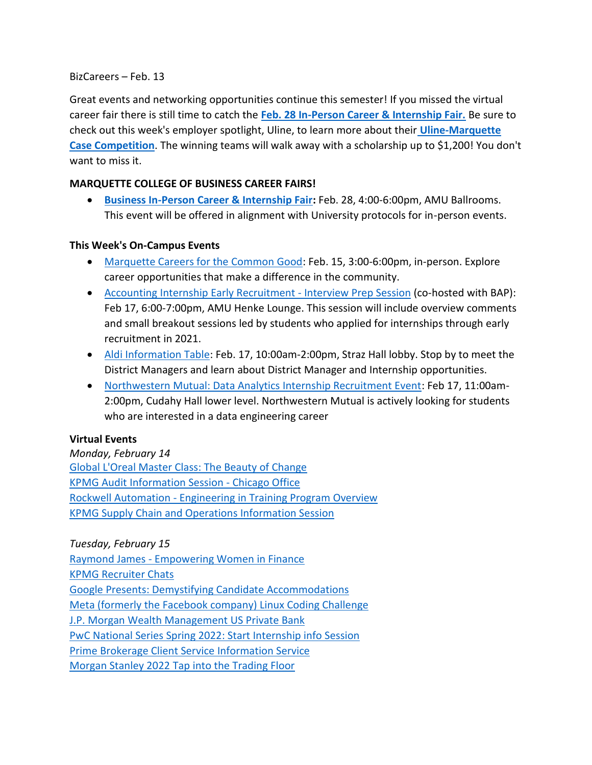#### BizCareers – Feb. 13

Great events and networking opportunities continue this semester! If you missed the virtual career fair there is still time to catch the **[Feb. 28 In-Person Career & Internship Fair.](https://marquette.joinhandshake.com/career_fairs/30484/student_preview?token=WCqhpDRotASCVKxFNhSSfIRZXoKInwSrh8OV1hvNG4tWU7PIUgqwLg)** Be sure to check out this week's employer spotlight, Uline, to learn more about their **[Uline-Marquette](https://marquette.joinhandshake.com/events/938524/share_preview)  [Case Competition](https://marquette.joinhandshake.com/events/938524/share_preview)**. The winning teams will walk away with a scholarship up to \$1,200! You don't want to miss it.

### **MARQUETTE COLLEGE OF BUSINESS CAREER FAIRS!**

• **[Business In-Person Career & Internship Fair:](https://marquette.joinhandshake.com/career_fairs/30484/student_preview?token=WCqhpDRotASCVKxFNhSSfIRZXoKInwSrh8OV1hvNG4tWU7PIUgqwLg)** Feb. 28, 4:00-6:00pm, AMU Ballrooms. This event will be offered in alignment with University protocols for in-person events.

#### **This Week's On-Campus Events**

- [Marquette Careers for the Common Good:](https://marquette.joinhandshake.com/career_fairs/29339/student_preview?token=UmOUy5LhDh3y-cbE2HdQdLaeyDrETiFK8n31AiP3fZT2i398qwdsFA) Feb. 15, 3:00-6:00pm, in-person. Explore career opportunities that make a difference in the community.
- [Accounting Internship Early Recruitment -](https://marquette.joinhandshake.com/events/934609/share_preview) Interview Prep Session (co-hosted with BAP): Feb 17, 6:00-7:00pm, AMU Henke Lounge. This session will include overview comments and small breakout sessions led by students who applied for internships through early recruitment in 2021.
- [Aldi Information Table:](https://marquette.joinhandshake.com/events/948813/share_preview) Feb. 17, 10:00am-2:00pm, Straz Hall lobby. Stop by to meet the District Managers and learn about District Manager and Internship opportunities.
- [Northwestern Mutual: Data Analytics Internship Recruitment Event:](https://marquette.joinhandshake.com/events/955238/share_preview) Feb 17, 11:00am-2:00pm, Cudahy Hall lower level. Northwestern Mutual is actively looking for students who are interested in a data engineering career

### **Virtual Events**

*Monday, February 14* [Global L'Oreal Master Class: The Beauty of Change](https://marquette.joinhandshake.com/events/970427/share_preview) KPMG Audit [Information Session -](https://marquette.joinhandshake.com/events/933912/share_preview) Chicago Office Rockwell Automation - [Engineering in Training Program Overview](https://marquette.joinhandshake.com/events/962279/share_preview) [KPMG Supply Chain and Operations Information Session](https://marquette.joinhandshake.com/events/933948/share_preview)

*Tuesday, February 15* Raymond James - [Empowering Women in Finance](https://marquette.joinhandshake.com/events/971171/share_preview)

[KPMG Recruiter Chats](https://marquette.joinhandshake.com/events/933961/share_preview)

[Google Presents: Demystifying Candidate Accommodations](https://marquette.joinhandshake.com/events/962675/share_preview)

[Meta \(formerly the Facebook company\) Linux Coding Challenge](https://marquette.joinhandshake.com/events/938048/share_preview)

[J.P. Morgan Wealth Management US Private Bank](https://marquette.joinhandshake.com/events/962219/share_preview) 

[PwC National Series Spring 2022: Start Internship info Session](https://marquette.joinhandshake.com/events/955464/share_preview)

[Prime Brokerage Client Service Information Service](https://marquette.joinhandshake.com/events/964174/share_preview)

[Morgan Stanley 2022 Tap into the Trading Floor](https://marquette.joinhandshake.com/events/953051/share_preview)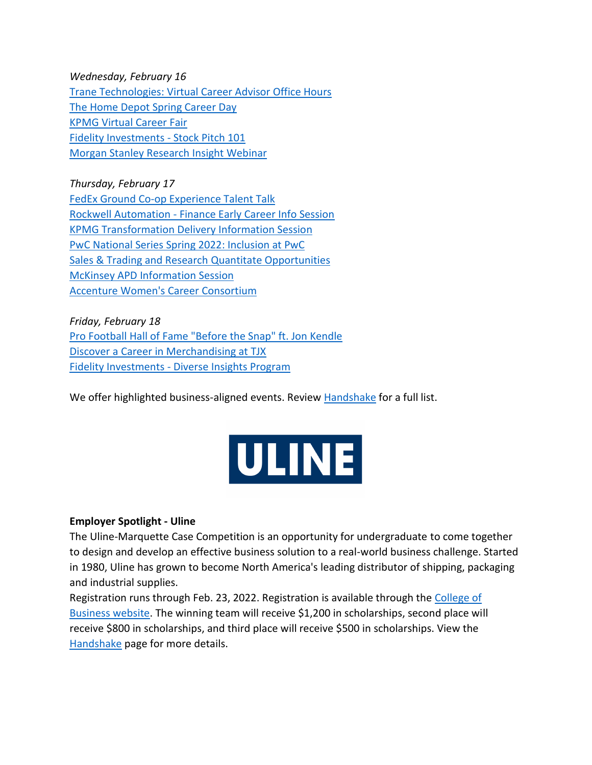*Wednesday, February 16* [Trane Technologies: Virtual Career Advisor Office Hours](https://marquette.joinhandshake.com/events/969256/share_preview) [The Home Depot Spring Career Day](https://marquette.joinhandshake.com/events/956733/share_preview) [KPMG Virtual Career Fair](https://marquette.joinhandshake.com/events/939750/share_preview) [Fidelity Investments -](https://marquette.joinhandshake.com/events/964116/share_preview) Stock Pitch 101 [Morgan Stanley Research Insight Webinar](https://marquette.joinhandshake.com/events/965284/share_preview)

*Thursday, February 17* [FedEx Ground Co-op Experience Talent Talk](https://marquette.joinhandshake.com/events/968201/share_preview) Rockwell Automation - [Finance Early Career Info Session](https://marquette.joinhandshake.com/events/954334/share_preview) [KPMG Transformation Delivery Information Session](https://marquette.joinhandshake.com/events/933994/share_preview) [PwC National Series Spring 2022: Inclusion at PwC](https://marquette.joinhandshake.com/events/955535/share_preview) [Sales & Trading and Research Quantitate Opportunities](https://marquette.joinhandshake.com/events/958941/share_preview) [McKinsey APD Information Session](https://marquette.joinhandshake.com/events/967293/share_preview) [Accenture Women's Career Consortium](https://marquette.joinhandshake.com/events/964105/share_preview)

*Friday, February 18* [Pro Football Hall of Fame "Before the Snap" ft. Jon Kendle](https://marquette.joinhandshake.com/events/961136/share_preview) [Discover a Career in Merchandising at TJX](https://marquette.joinhandshake.com/events/967594/share_preview) Fidelity Investments - [Diverse Insights Program](https://marquette.joinhandshake.com/events/964382/share_preview)

We offer highlighted business-aligned events. Review [Handshake](https://marquette.joinhandshake.com/edu/events) for a full list.



### **Employer Spotlight - Uline**

The Uline-Marquette Case Competition is an opportunity for undergraduate to come together to design and develop an effective business solution to a real-world business challenge. Started in 1980, Uline has grown to become North America's leading distributor of shipping, packaging and industrial supplies.

Registration runs through Feb. 23, 2022. Registration is available through the [College of](https://www.marquette.edu/business/companies/uline-marquette-case-competition.php)  [Business website.](https://www.marquette.edu/business/companies/uline-marquette-case-competition.php) The winning team will receive \$1,200 in scholarships, second place will receive \$800 in scholarships, and third place will receive \$500 in scholarships. View the [Handshake](https://marquette.joinhandshake.com/events/938524/share_preview) page for more details.